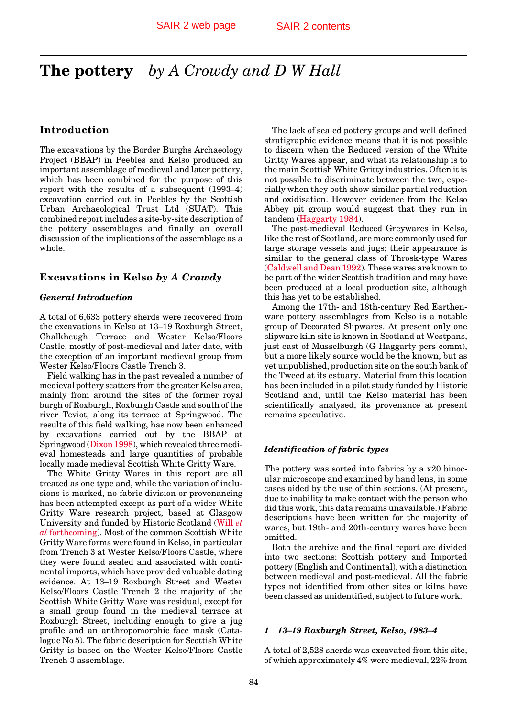# <span id="page-0-0"></span>**The pottery** *by A Crowdy and D W Hall*

# **Introduction**

The excavations by the Border Burghs Archaeology Project (BBAP) in Peebles and Kelso produced an important assemblage of medieval and later pottery, which has been combined for the purpose of this report with the results of a subsequent (1993–4) excavation carried out in Peebles by the Scottish Urban Archaeological Trust Ltd (SUAT). This combined report includes a site-by-site description of the pottery assemblages and finally an overall discussion of the implications of the assemblage as a whole.

# **Excavations in Kelso** *by A Crowdy*

# *General Introduction*

A total of 6,633 pottery sherds were recovered from the excavations in Kelso at 13–19 Roxburgh Street, Chalkheugh Terrace and Wester Kelso/Floors Castle, mostly of post-medieval and later date, with the exception of an important medieval group from Wester Kelso/Floors Castle Trench 3.

Field walking has in the past revealed a number of medieval pottery scatters from the greater Kelso area, mainly from around the sites of the former royal burgh of Roxburgh, Roxburgh Castle and south of the river Teviot, along its terrace at Springwood. The results of this field walking, has now been enhanced by excavations carried out by the BBAP at Springwood (Dixon 1998), which revealed three medieval homesteads and large quantities of probable locally made medieval Scottish White Gritty Ware.

The White Gritty Wares in this report are all treated as one type and, while the variation of inclusions is marked, no fabric division or provenancing has been attempted except as part of a wider White Gritty Ware research project, based at Glasgow University and funded by Historic Scotland [\(Will](#page-3-0) *et al* [forthcoming\).](#page-3-0) Most of the common Scottish White Gritty Ware forms were found in Kelso, in particular from Trench 3 at Wester Kelso/Floors Castle, where they were found sealed and associated with continental imports, which have provided valuable dating evidence. At 13–19 Roxburgh Street and Wester Kelso/Floors Castle Trench 2 the majority of the Scottish White Gritty Ware was residual, except for a small group found in the medieval terrace at Roxburgh Street, including enough to give a jug profile and an anthropomorphic face mask (Catalogue No 5). The fabric description for Scottish White Gritty is based on the Wester Kelso/Floors Castle Trench 3 assemblage.

The lack of sealed pottery groups and well defined stratigraphic evidence means that it is not possible to discern when the Reduced version of the White Gritty Wares appear, and what its relationship is to the main Scottish White Gritty industries. Often it is not possible to discriminate between the two, especially when they both show similar partial reduction and oxidisation. However evidence from the Kelso Abbey pit group would suggest that they run in tande[m \(Haggarty 1984\).](#page-1-0)

The post-medieval Reduced Greywares in Kelso, like the rest of Scotland, are more commonly used for large storage vessels and jugs; their appearance is similar to the general class of Throsk-type Wares (Caldwell and Dean 1992). These wares are known to be part of the wider Scottish tradition and may have been produced at a local production site, although this has yet to be established.

Among the 17th- and 18th-century Red Earthenware pottery assemblages from Kelso is a notable group of Decorated Slipwares. At present only one slipware kiln site is known in Scotland at Westpans, just east of Musselburgh (G Haggarty pers comm), but a more likely source would be the known, but as yet unpublished, production site on the south bank of the Tweed at its estuary. Material from this location has been included in a pilot study funded by Historic Scotland and, until the Kelso material has been scientifically analysed, its provenance at present remains speculative.

#### *Identification of fabric types*

The pottery was sorted into fabrics by a x20 binocular microscope and examined by hand lens, in some cases aided by the use of thin sections. (At present, due to inability to make contact with the person who did this work, this data remains unavailable.) Fabric descriptions have been written for the majority of wares, but 19th- and 20th-century wares have been omitted.

Both the archive and the final report are divided into two sections: Scottish pottery and Imported pottery (English and Continental), with a distinction between medieval and post-medieval. All the fabric types not identified from other sites or kilns have been classed as unidentified, subject to future work.

### *1 13–19 Roxburgh Street, Kelso, 1983–4*

A total of 2,528 sherds was excavated from this site, of which approximately 4% were medieval, 22% from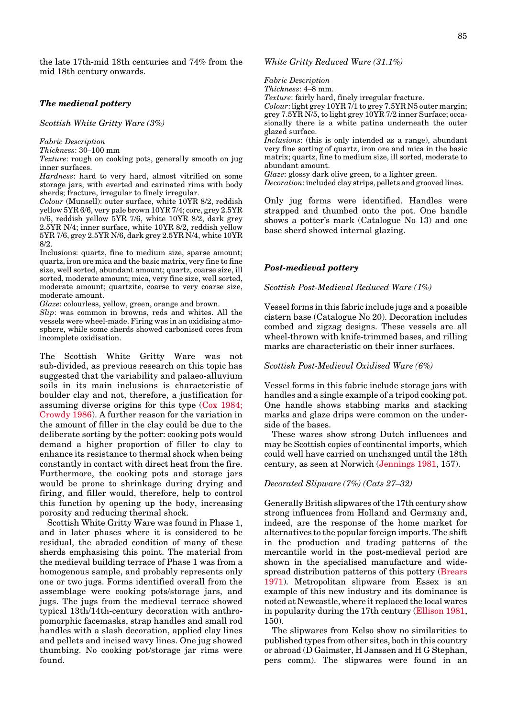<span id="page-1-0"></span>the late 17th-mid 18th centuries and 74% from the mid 18th century onwards.

#### *The medieval pottery*

*Scottish White Gritty Ware (3%)*

*Fabric Description*

*Thickness*: 30–100 mm

*Texture*: rough on cooking pots, generally smooth on jug inner surfaces.

*Hardness*: hard to very hard, almost vitrified on some storage jars, with everted and carinated rims with body sherds; fracture, irregular to finely irregular.

*Colour* (Munsell): outer surface, white 10YR 8/2, reddish yellow 5YR 6/6, very pale brown 10YR 7/4; core, grey 2.5YR n/6, reddish yellow 5YR 7/6, white 10YR 8/2, dark grey 2.5YR N/4; inner surface, white 10YR 8/2, reddish yellow 5YR 7/6, grey 2.5YR N/6, dark grey 2.5YR N/4, white 10YR 8/2.

Inclusions: quartz, fine to medium size, sparse amount; quartz, iron ore mica and the basic matrix, very fine to fine size, well sorted, abundant amount; quartz, coarse size, ill sorted, moderate amount; mica, very fine size, well sorted, moderate amount; quartzite, coarse to very coarse size, moderate amount.

*Glaze*: colourless, yellow, green, orange and brown.

*Slip*: was common in browns, reds and whites. All the vessels were wheel-made. Firing was in an oxidising atmosphere, while some sherds showed carbonised cores from incomplete oxidisation.

The Scottish White Gritty Ware was not sub-divided, as previous research on this topic has suggested that the variability and palaeo-alluvium soils in its main inclusions is characteristic of boulder clay and not, therefore, a justification for assuming diverse origins for this type [\(Cox 1984;](#page-0-0) [Crowdy 1986\). A](#page-0-0) further reason for the variation in the amount of filler in the clay could be due to the deliberate sorting by the potter: cooking pots would demand a higher proportion of filler to clay to enhance its resistance to thermal shock when being constantly in contact with direct heat from the fire. Furthermore, the cooking pots and storage jars would be prone to shrinkage during drying and firing, and filler would, therefore, help to control this function by opening up the body, increasing porosity and reducing thermal shock.

Scottish White Gritty Ware was found in Phase 1, and in later phases where it is considered to be residual, the abraded condition of many of these sherds emphasising this point. The material from the medieval building terrace of Phase 1 was from a homogenous sample, and probably represents only one or two jugs. Forms identified overall from the assemblage were cooking pots/storage jars, and jugs. The jugs from the medieval terrace showed typical 13th/14th-century decoration with anthropomorphic facemasks, strap handles and small rod handles with a slash decoration, applied clay lines and pellets and incised wavy lines. One jug showed thumbing. No cooking pot/storage jar rims were found.

*White Gritty Reduced Ware (31.1%)*

*Fabric Description Thickness*: 4–8 mm. *Texture*: fairly hard, finely irregular fracture. *Colour*: light grey 10YR 7/1 to grey 7.5YR N5 outer margin; grey 7.5YR N/5, to light grey 10YR 7/2 inner Surface; occasionally there is a white patina underneath the outer glazed surface. *Inclusions*: (this is only intended as a range), abundant very fine sorting of quartz, iron ore and mica in the basic matrix; quartz, fine to medium size, ill sorted, moderate to abundant amount. *Glaze*: glossy dark olive green, to a lighter green.

*Decoration*: included clay strips, pellets and grooved lines.

Only jug forms were identified. Handles were strapped and thumbed onto the pot. One handle shows a potter's mark (Catalogue No 13) and one base sherd showed internal glazing.

#### *Post-medieval pottery*

*Scottish Post-Medieval Reduced Ware (1%)*

Vessel forms in this fabric include jugs and a possible cistern base (Catalogue No 20). Decoration includes combed and zigzag designs. These vessels are all wheel-thrown with knife-trimmed bases, and rilling marks are characteristic on their inner surfaces.

#### *Scottish Post-Medieval Oxidised Ware (6%)*

Vessel forms in this fabric include storage jars with handles and a single example of a tripod cooking pot. One handle shows stabbing marks and stacking marks and glaze drips were common on the underside of the bases.

These wares show strong Dutch influences and may be Scottish copies of continental imports, which could well have carried on unchanged until the 18th century, as seen at Norwich (Jennings 1981, 157).

#### *Decorated Slipware (7%) (Cats 27–32)*

Generally British slipwares of the 17th century show strong influences from Holland and Germany and, indeed, are the response of the home market for alternatives to the popular foreign imports. The shift in the production and trading patterns of the mercantile world in the post-medieval period are shown in the specialised manufacture and widespread distribution patterns of this pottery [\(Brears](#page-0-0) [1971\).](#page-0-0) Metropolitan slipware from Essex is an example of this new industry and its dominance is noted at Newcastle, where it replaced the local wares in popularity during the 17th centur[y \(Ellison 1981,](#page-0-0) 150).

The slipwares from Kelso show no similarities to published types from other sites, both in this country or abroad (D Gaimster, H Janssen and H G Stephan, pers comm). The slipwares were found in an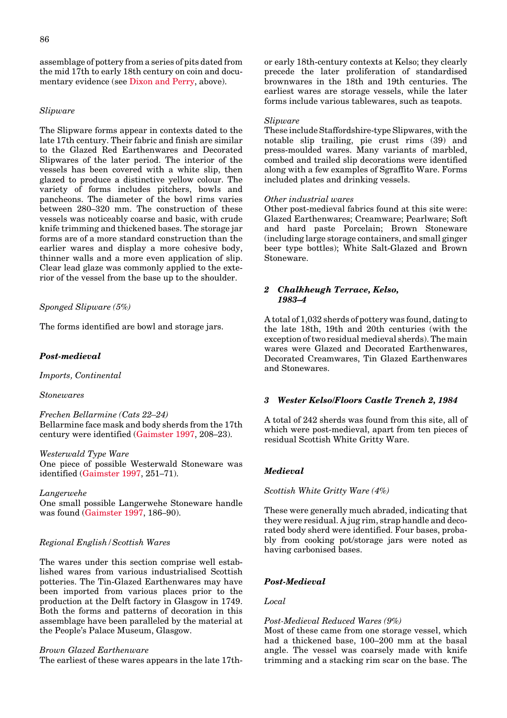<span id="page-2-0"></span>assemblage of pottery from a series of pits dated from the mid 17th to early 18th century on coin and documentary evidence (see [Dixon and Perry, a](#page-4-0)bove).

# *Slipware*

The Slipware forms appear in contexts dated to the late 17th century. Their fabric and finish are similar to the Glazed Red Earthenwares and Decorated Slipwares of the later period. The interior of the vessels has been covered with a white slip, then glazed to produce a distinctive yellow colour. The variety of forms includes pitchers, bowls and pancheons. The diameter of the bowl rims varies between 280–320 mm. The construction of these vessels was noticeably coarse and basic, with crude knife trimming and thickened bases. The storage jar forms are of a more standard construction than the earlier wares and display a more cohesive body, thinner walls and a more even application of slip. Clear lead glaze was commonly applied to the exterior of the vessel from the base up to the shoulder.

# *Sponged Slipware (5%)*

The forms identified are bowl and storage jars.

#### *Post-medieval*

*Imports, Continental*

# *Stonewares*

*Frechen Bellarmine (Cats 22–24)* Bellarmine face mask and body sherds from the 17th century were identifie[d \(Gaimster 1997,](#page-1-0) 208–23).

#### *Westerwald Type Ware*

One piece of possible Westerwald Stoneware was identified [\(Gaimster 1997, 2](#page-1-0)51–71).

#### *Langerwehe*

One small possible Langerwehe Stoneware handle was found [\(Gaimster 1997, 1](#page-1-0)86–90).

#### *Regional English/Scottish Wares*

The wares under this section comprise well established wares from various industrialised Scottish potteries. The Tin-Glazed Earthenwares may have been imported from various places prior to the production at the Delft factory in Glasgow in 1749. Both the forms and patterns of decoration in this assemblage have been paralleled by the material at the People's Palace Museum, Glasgow.

#### *Brown Glazed Earthenware*

The earliest of these wares appears in the late 17th-

or early 18th-century contexts at Kelso; they clearly precede the later proliferation of standardised brownwares in the 18th and 19th centuries. The earliest wares are storage vessels, while the later forms include various tablewares, such as teapots.

### *Slipware*

These include Staffordshire-type Slipwares, with the notable slip trailing, pie crust rims (39) and press-moulded wares. Many variants of marbled, combed and trailed slip decorations were identified along with a few examples of Sgraffito Ware. Forms included plates and drinking vessels.

#### *Other industrial wares*

Other post-medieval fabrics found at this site were: Glazed Earthenwares; Creamware; Pearlware; Soft and hard paste Porcelain; Brown Stoneware (including large storage containers, and small ginger beer type bottles); White Salt-Glazed and Brown Stoneware.

#### *2 Chalkheugh Terrace, Kelso, 1983–4*

A total of 1,032 sherds of pottery was found, dating to the late 18th, 19th and 20th centuries (with the exception of two residual medieval sherds). The main wares were Glazed and Decorated Earthenwares, Decorated Creamwares, Tin Glazed Earthenwares and Stonewares.

# *3 Wester Kelso/Floors Castle Trench 2, 1984*

A total of 242 sherds was found from this site, all of which were post-medieval, apart from ten pieces of residual Scottish White Gritty Ware.

### *Medieval*

*Scottish White Gritty Ware (4%)*

These were generally much abraded, indicating that they were residual. A jug rim, strap handle and decorated body sherd were identified. Four bases, probably from cooking pot/storage jars were noted as having carbonised bases.

#### *Post-Medieval*

# *Local*

#### *Post-Medieval Reduced Wares (9%)*

Most of these came from one storage vessel, which had a thickened base, 100–200 mm at the basal angle. The vessel was coarsely made with knife trimming and a stacking rim scar on the base. The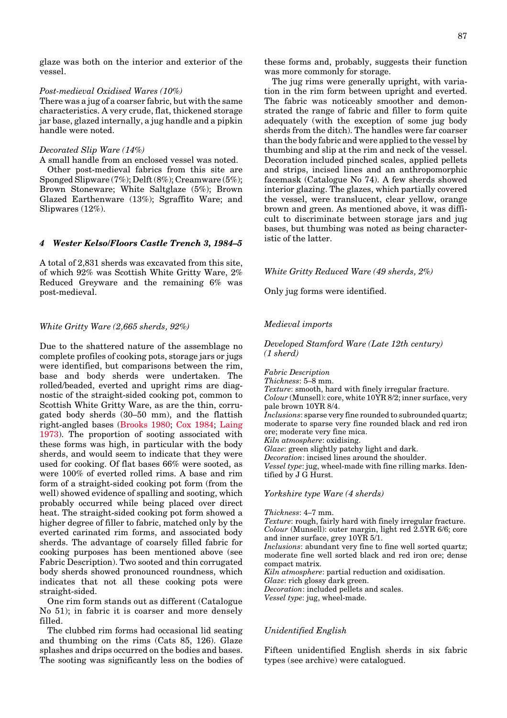#### <span id="page-3-0"></span>*Post-medieval Oxidised Wares (10%)*

There was a jug of a coarser fabric, but with the same characteristics. A very crude, flat, thickened storage jar base, glazed internally, a jug handle and a pipkin handle were noted.

#### *Decorated Slip Ware (14%)*

A small handle from an enclosed vessel was noted. Other post-medieval fabrics from this site are Sponged Slipware (7%); Delft (8%); Creamware (5%); Brown Stoneware; White Saltglaze (5%); Brown Glazed Earthenware (13%); Sgraffito Ware; and Slipwares (12%).

#### *4 Wester Kelso/Floors Castle Trench 3, 1984–5*

A total of 2,831 sherds was excavated from this site, of which 92% was Scottish White Gritty Ware, 2% Reduced Greyware and the remaining 6% was post-medieval.

#### *White Gritty Ware (2,665 sherds, 92%)*

Due to the shattered nature of the assemblage no complete profiles of cooking pots, storage jars or jugs were identified, but comparisons between the rim, base and body sherds were undertaken. The rolled/beaded, everted and upright rims are diagnostic of the straight-sided cooking pot, common to Scottish White Gritty Ware, as are the thin, corrugated body sherds (30–50 mm), and the flattish right-angled bases [\(Brooks 1980;](#page-0-0) Cox 1984; [Laing](#page-1-0) [1973\).](#page-1-0) The proportion of sooting associated with these forms was high, in particular with the body sherds, and would seem to indicate that they were used for cooking. Of flat bases 66% were sooted, as were 100% of everted rolled rims. A base and rim form of a straight-sided cooking pot form (from the well) showed evidence of spalling and sooting, which probably occurred while being placed over direct heat. The straight-sided cooking pot form showed a higher degree of filler to fabric, matched only by the everted carinated rim forms, and associated body sherds. The advantage of coarsely filled fabric for cooking purposes has been mentioned above (see Fabric Description). Two sooted and thin corrugated body sherds showed pronounced roundness, which indicates that not all these cooking pots were straight-sided.

One rim form stands out as different (Catalogue No 51); in fabric it is coarser and more densely filled.

The clubbed rim forms had occasional lid seating and thumbing on the rims (Cats 85, 126). Glaze splashes and drips occurred on the bodies and bases. The sooting was significantly less on the bodies of these forms and, probably, suggests their function was more commonly for storage.

The jug rims were generally upright, with variation in the rim form between upright and everted. The fabric was noticeably smoother and demonstrated the range of fabric and filler to form quite adequately (with the exception of some jug body sherds from the ditch). The handles were far coarser than the body fabric and were applied to the vessel by thumbing and slip at the rim and neck of the vessel. Decoration included pinched scales, applied pellets and strips, incised lines and an anthropomorphic facemask (Catalogue No 74). A few sherds showed interior glazing. The glazes, which partially covered the vessel, were translucent, clear yellow, orange brown and green. As mentioned above, it was difficult to discriminate between storage jars and jug bases, but thumbing was noted as being characteristic of the latter.

*White Gritty Reduced Ware (49 sherds, 2%)*

Only jug forms were identified.

#### *Medieval imports*

*Developed Stamford Ware (Late 12th century) (1 sherd)*

*Fabric Description*

*Thickness*: 5–8 mm.

*Texture*: smooth, hard with finely irregular fracture. *Colour* (Munsell): core, white 10YR 8/2; inner surface, very pale brown 10YR 8/4. *Inclusions*: sparse very fine rounded to subrounded quartz; moderate to sparse very fine rounded black and red iron ore; moderate very fine mica. *Kiln atmosphere*: oxidising. *Glaze*: green slightly patchy light and dark. *Decoration*: incised lines around the shoulder. *Vessel type*: jug, wheel-made with fine rilling marks. Identified by J G Hurst.

*Yorkshire type Ware (4 sherds)*

*Thickness*: 4–7 mm. *Texture*: rough, fairly hard with finely irregular fracture. *Colour* (Munsell): outer margin, light red 2.5YR 6/6; core and inner surface, grey 10YR 5/1. *Inclusions*: abundant very fine to fine well sorted quartz; moderate fine well sorted black and red iron ore; dense compact matrix. *Kiln atmosphere*: partial reduction and oxidisation. *Glaze*: rich glossy dark green. *Decoration*: included pellets and scales. *Vessel type*: jug, wheel-made.

# *Unidentified English*

Fifteen unidentified English sherds in six fabric types (see archive) were catalogued.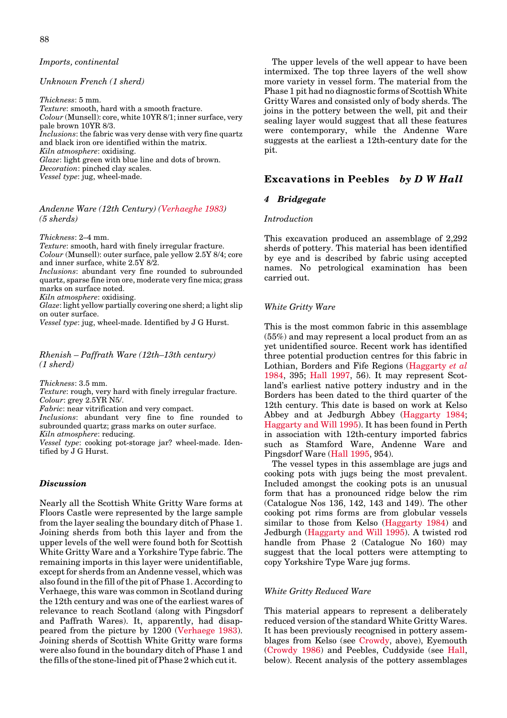<span id="page-4-0"></span>88

#### *Imports, continental*

### *Unknown French (1 sherd)*

*Thickness*: 5 mm. *Texture*: smooth, hard with a smooth fracture. *Colour* (Munsell): core, white 10YR 8/1; inner surface, very pale brown 10YR 8/3. *Inclusions*: the fabric was very dense with very fine quartz and black iron ore identified within the matrix. *Kiln atmosphere*: oxidising. *Glaze*: light green with blue line and dots of brown. *Decoration*: pinched clay scales. *Vessel type*: jug, wheel-made.

# *Andenne Ware (12th Century) [\(Verhaeghe 1983\)](#page-3-0) (5 sherds)*

*Thickness*: 2–4 mm.

*Texture*: smooth, hard with finely irregular fracture. *Colour* (Munsell): outer surface, pale yellow 2.5Y 8/4; core and inner surface, white 2.5Y 8/2.

*Inclusions*: abundant very fine rounded to subrounded quartz, sparse fine iron ore, moderate very fine mica; grass marks on surface noted.

*Kiln atmosphere*: oxidising.

*Glaze*: light yellow partially covering one sherd; a light slip on outer surface.

*Vessel type*: jug, wheel-made. Identified by J G Hurst.

#### *Rhenish – Paffrath Ware (12th–13th century) (1 sherd)*

*Thickness*: 3.5 mm.

*Texture*: rough, very hard with finely irregular fracture. *Colour*: grey 2.5YR N5/.

*Fabric*: near vitrification and very compact.

*Inclusions*: abundant very fine to fine rounded to subrounded quartz; grass marks on outer surface.

*Kiln atmosphere*: reducing.

*Vessel type*: cooking pot-storage jar? wheel-made. Identified by J G Hurst.

# *Discussion*

Nearly all the Scottish White Gritty Ware forms at Floors Castle were represented by the large sample from the layer sealing the boundary ditch of Phase 1. Joining sherds from both this layer and from the upper levels of the well were found both for Scottish White Gritty Ware and a Yorkshire Type fabric. The remaining imports in this layer were unidentifiable, except for sherds from an Andenne vessel, which was also found in the fill of the pit of Phase 1. According to Verhaege, this ware was common in Scotland during the 12th century and was one of the earliest wares of relevance to reach Scotland (along with Pingsdorf and Paffrath Wares). It, apparently, had disappeared from the picture by 1200 [\(Verhaege 1983\).](#page-3-0) Joining sherds of Scottish White Gritty ware forms were also found in the boundary ditch of Phase 1 and the fills of the stone-lined pit of Phase 2 which cut it.

The upper levels of the well appear to have been intermixed. The top three layers of the well show more variety in vessel form. The material from the Phase 1 pit had no diagnostic forms of Scottish White Gritty Wares and consisted only of body sherds. The joins in the pottery between the well, pit and their sealing layer would suggest that all these features were contemporary, while the Andenne Ware suggests at the earliest a 12th-century date for the pit.

# **Excavations in Peebles** *by D W Hall*

#### *4 Bridgegate*

#### *Introduction*

This excavation produced an assemblage of 2,292 sherds of pottery. This material has been identified by eye and is described by fabric using accepted names. No petrological examination has been carried out.

#### *White Gritty Ware*

This is the most common fabric in this assemblage (55%) and may represent a local product from an as yet unidentified source. Recent work has identified three potential production centres for this fabric in Lothian, Borders and Fife Regions [\(Haggarty](#page-1-0) *et al* [1984, 3](#page-1-0)95; [Hall 1997,](#page-1-0) 56). It may represent Scotland's earliest native pottery industry and in the Borders has been dated to the third quarter of the 12th century. This date is based on work at Kelso Abbey and at Jedburgh Abbey [\(Haggarty 1984;](#page-1-0) [Haggarty and Will 1995\).](#page-1-0) It has been found in Perth in association with 12th-century imported fabrics such as Stamford Ware, Andenne Ware and Pingsdorf Ware [\(Hall 1995,](#page-1-0) 954).

The vessel types in this assemblage are jugs and cooking pots with jugs being the most prevalent. Included amongst the cooking pots is an unusual form that has a pronounced ridge below the rim (Catalogue Nos 136, 142, 143 and 149). The other cooking pot rims forms are from globular vessels similar to those from Kelso [\(Haggarty 1984\)](#page-1-0) and Jedburgh [\(Haggarty and Will 1995\).](#page-1-0) A twisted rod handle from Phase 2 (Catalogue No 160) may suggest that the local potters were attempting to copy Yorkshire Type Ware jug forms.

#### *White Gritty Reduced Ware*

This material appears to represent a deliberately reduced version of the standard White Gritty Wares. It has been previously recognised in pottery assemblages from Kelso (see [Crowdy,](#page-0-0) above), Eyemouth [\(Crowdy 1986\)](#page-0-0) and Peebles, Cuddyside (see [Hall,](#page-5-0) below). Recent analysis of the pottery assemblages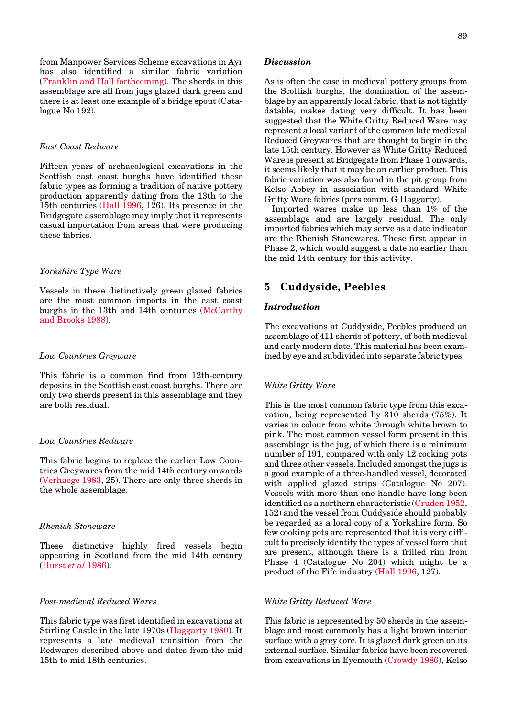<span id="page-5-0"></span>from Manpower Services Scheme excavations in Ayr has also identified a similar fabric variation [\(Franklin and Hall forthcoming\).](#page-0-0) The sherds in this assemblage are all from jugs glazed dark green and there is at least one example of a bridge spout (Catalogue No 192).

### *East Coast Redware*

Fifteen years of archaeological excavations in the Scottish east coast burghs have identified these fabric types as forming a tradition of native pottery production apparently dating from the 13th to the 15th centuries [\(Hall 1996, 1](#page-1-0)26). Its presence in the Bridgegate assemblage may imply that it represents casual importation from areas that were producing these fabrics.

# *Yorkshire Type Ware*

Vessels in these distinctively green glazed fabrics are the most common imports in the east coast burghs in the 13th and 14th centuries [\(McCarthy](#page-1-0) [and Brooks 1988\).](#page-1-0)

#### *Low Countries Greyware*

This fabric is a common find from 12th-century deposits in the Scottish east coast burghs. There are only two sherds present in this assemblage and they are both residual.

# *Low Countries Redware*

This fabric begins to replace the earlier Low Countries Greywares from the mid 14th century onwards [\(Verhaege 1983,](#page-3-0) 25). There are only three sherds in the whole assemblage.

# *Rhenish Stoneware*

These distinctive highly fired vessels begin appearing in Scotland from the mid 14th century [\(Hurst](#page-1-0) *et al* 1986).

# *Post-medieval Reduced Wares*

This fabric type was first identified in excavations at Stirling Castle in the late 1970s [\(Haggarty 1980\).](#page-1-0) It represents a late medieval transition from the Redwares described above and dates from the mid 15th to mid 18th centuries.

### *Discussion*

As is often the case in medieval pottery groups from the Scottish burghs, the domination of the assemblage by an apparently local fabric, that is not tightly datable, makes dating very difficult. It has been suggested that the White Gritty Reduced Ware may represent a local variant of the common late medieval Reduced Greywares that are thought to begin in the late 15th century. However as White Gritty Reduced Ware is present at Bridgegate from Phase 1 onwards, it seems likely that it may be an earlier product. This fabric variation was also found in the pit group from Kelso Abbey in association with standard White Gritty Ware fabrics (pers comm. G Haggarty).

Imported wares make up less than 1% of the assemblage and are largely residual. The only imported fabrics which may serve as a date indicator are the Rhenish Stonewares. These first appear in Phase 2, which would suggest a date no earlier than the mid 14th century for this activity.

# **5 Cuddyside, Peebles**

### *Introduction*

The excavations at Cuddyside, Peebles produced an assemblage of 411 sherds of pottery, of both medieval and early modern date. This material has been examined by eye and subdivided into separate fabric types.

### *White Gritty Ware*

This is the most common fabric type from this excavation, being represented by 310 sherds (75%). It varies in colour from white through white brown to pink. The most common vessel form present in this assemblage is the jug, of which there is a minimum number of 191, compared with only 12 cooking pots and three other vessels. Included amongst the jugs is a good example of a three-handled vessel, decorated with applied glazed strips (Catalogue No 207). Vessels with more than one handle have long been identified as a northern characteristic [\(Cruden 1952,](#page-0-0) 152) and the vessel from Cuddyside should probably be regarded as a local copy of a Yorkshire form. So few cooking pots are represented that it is very difficult to precisely identify the types of vessel form that are present, although there is a frilled rim from Phase 4 (Catalogue No 204) which might be a product of the Fife industr[y \(Hall 1996,](#page-1-0) 127).

# *White Gritty Reduced Ware*

This fabric is represented by 50 sherds in the assemblage and most commonly has a light brown interior surface with a grey core. It is glazed dark green on its external surface. Similar fabrics have been recovered from excavations in Eyemout[h \(Crowdy 1986\), K](#page-0-0)elso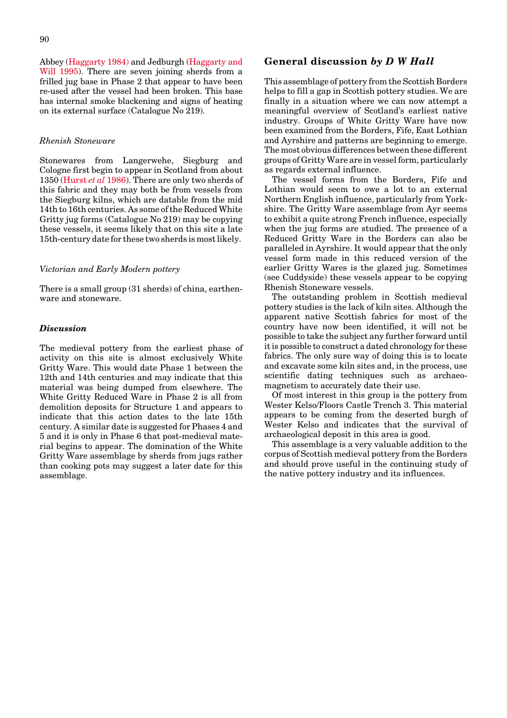Abbe[y \(Haggarty 1984\)](#page-1-0) and Jedburg[h \(Haggarty and](#page-1-0) [Will 1995\).](#page-1-0) There are seven joining sherds from a frilled jug base in Phase 2 that appear to have been re-used after the vessel had been broken. This base has internal smoke blackening and signs of heating on its external surface (Catalogue No 219).

#### *Rhenish Stoneware*

Stonewares from Langerwehe, Siegburg and Cologne first begin to appear in Scotland from about 135[0 \(Hurst](#page-1-0) *et al* 1986). There are only two sherds of this fabric and they may both be from vessels from the Siegburg kilns, which are datable from the mid 14th to 16th centuries. As some of the Reduced White Gritty jug forms (Catalogue No 219) may be copying these vessels, it seems likely that on this site a late 15th-century date for these two sherds is most likely.

# *Victorian and Early Modern pottery*

There is a small group (31 sherds) of china, earthenware and stoneware.

### *Discussion*

The medieval pottery from the earliest phase of activity on this site is almost exclusively White Gritty Ware. This would date Phase 1 between the 12th and 14th centuries and may indicate that this material was being dumped from elsewhere. The White Gritty Reduced Ware in Phase 2 is all from demolition deposits for Structure 1 and appears to indicate that this action dates to the late 15th century. A similar date is suggested for Phases 4 and 5 and it is only in Phase 6 that post-medieval material begins to appear. The domination of the White Gritty Ware assemblage by sherds from jugs rather than cooking pots may suggest a later date for this assemblage.

# **General discussion** *by D W Hall*

This assemblage of pottery from the Scottish Borders helps to fill a gap in Scottish pottery studies. We are finally in a situation where we can now attempt a meaningful overview of Scotland's earliest native industry. Groups of White Gritty Ware have now been examined from the Borders, Fife, East Lothian and Ayrshire and patterns are beginning to emerge. The most obvious differences between these different groups of Gritty Ware are in vessel form, particularly as regards external influence.

The vessel forms from the Borders, Fife and Lothian would seem to owe a lot to an external Northern English influence, particularly from Yorkshire. The Gritty Ware assemblage from Ayr seems to exhibit a quite strong French influence, especially when the jug forms are studied. The presence of a Reduced Gritty Ware in the Borders can also be paralleled in Ayrshire. It would appear that the only vessel form made in this reduced version of the earlier Gritty Wares is the glazed jug. Sometimes (see Cuddyside) these vessels appear to be copying Rhenish Stoneware vessels.

The outstanding problem in Scottish medieval pottery studies is the lack of kiln sites. Although the apparent native Scottish fabrics for most of the country have now been identified, it will not be possible to take the subject any further forward until it is possible to construct a dated chronology for these fabrics. The only sure way of doing this is to locate and excavate some kiln sites and, in the process, use scientific dating techniques such as archaeomagnetism to accurately date their use.

Of most interest in this group is the pottery from Wester Kelso/Floors Castle Trench 3. This material appears to be coming from the deserted burgh of Wester Kelso and indicates that the survival of archaeological deposit in this area is good.

This assemblage is a very valuable addition to the corpus of Scottish medieval pottery from the Borders and should prove useful in the continuing study of the native pottery industry and its influences.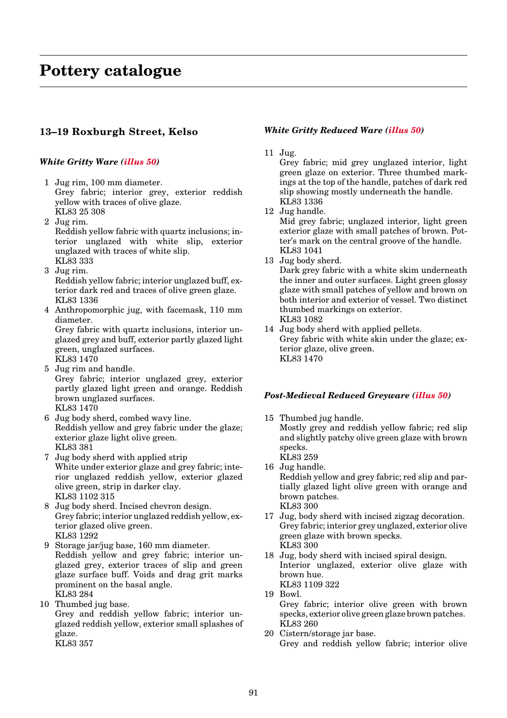# **13–19 Roxburgh Street, Kelso**

# *White Gritty Ware [\(illus 50\)](#page-8-0)*

- 1 Jug rim, 100 mm diameter. Grey fabric; interior grey, exterior reddish yellow with traces of olive glaze. KL83 25 308
- 2 Jug rim. Reddish yellow fabric with quartz inclusions; interior unglazed with white slip, exterior unglazed with traces of white slip. KL83 333
- 3 Jug rim. Reddish yellow fabric; interior unglazed buff, exterior dark red and traces of olive green glaze. KL83 1336
- 4 Anthropomorphic jug, with facemask, 110 mm diameter. Grey fabric with quartz inclusions, interior un-

glazed grey and buff, exterior partly glazed light green, unglazed surfaces. KL83 1470

- 5 Jug rim and handle. Grey fabric; interior unglazed grey, exterior partly glazed light green and orange. Reddish brown unglazed surfaces. KL83 1470
- 6 Jug body sherd, combed wavy line. Reddish yellow and grey fabric under the glaze; exterior glaze light olive green. KL83 381
- 7 Jug body sherd with applied strip White under exterior glaze and grey fabric; interior unglazed reddish yellow, exterior glazed olive green, strip in darker clay. KL83 1102 315
- 8 Jug body sherd. Incised chevron design. Grey fabric; interior unglazed reddish yellow, exterior glazed olive green. KL83 1292
- 9 Storage jar/jug base, 160 mm diameter. Reddish yellow and grey fabric; interior unglazed grey, exterior traces of slip and green glaze surface buff. Voids and drag grit marks prominent on the basal angle. KL83 284
- 10 Thumbed jug base.

Grey and reddish yellow fabric; interior unglazed reddish yellow, exterior small splashes of glaze.

KL83 357

# *White Gritty Reduced War[e \(illus 50\)](#page-8-0)*

11 Jug.

Grey fabric; mid grey unglazed interior, light green glaze on exterior. Three thumbed markings at the top of the handle, patches of dark red slip showing mostly underneath the handle. KL83 1336

12 Jug handle.

Mid grey fabric; unglazed interior, light green exterior glaze with small patches of brown. Potter's mark on the central groove of the handle. KL83 1041

13 Jug body sherd.

Dark grey fabric with a white skim underneath the inner and outer surfaces. Light green glossy glaze with small patches of yellow and brown on both interior and exterior of vessel. Two distinct thumbed markings on exterior. KL83 1082

14 Jug body sherd with applied pellets. Grey fabric with white skin under the glaze; exterior glaze, olive green. KL83 1470

# *Post-Medieval Reduced Greywar[e \(illus 50\)](#page-8-0)*

15 Thumbed jug handle.

Mostly grey and reddish yellow fabric; red slip and slightly patchy olive green glaze with brown specks. KL83 259

16 Jug handle.

Reddish yellow and grey fabric; red slip and partially glazed light olive green with orange and brown patches. KL83 300

- 17 Jug, body sherd with incised zigzag decoration. Grey fabric; interior grey unglazed, exterior olive green glaze with brown specks. KL83 300
- 18 Jug, body sherd with incised spiral design. Interior unglazed, exterior olive glaze with brown hue. KL83 1109 322
- 19 Bowl.

Grey fabric; interior olive green with brown specks, exterior olive green glaze brown patches. KL83 260

20 Cistern/storage jar base. Grey and reddish yellow fabric; interior olive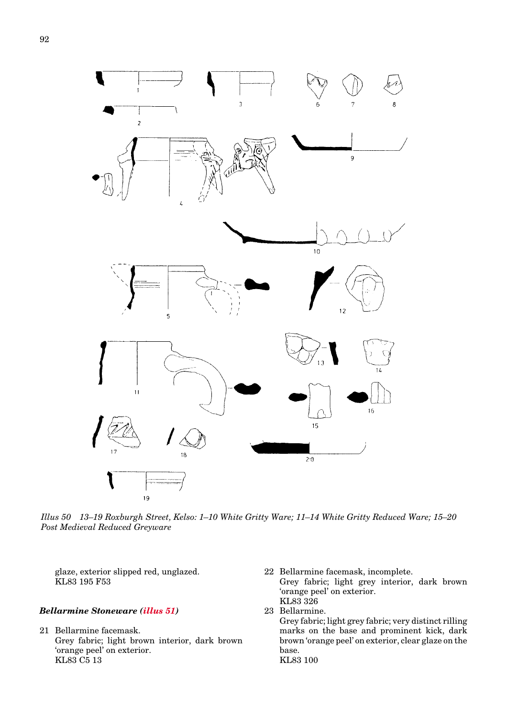<span id="page-8-0"></span>

*Illus 50 13–19 Roxburgh Street, Kelso: 1–10 White Gritty Ware; 11–14 White Gritty Reduced Ware; 15–20 Post Medieval Reduced Greyware*

glaze, exterior slipped red, unglazed. KL83 195 F53

# *Bellarmine Stoneware [\(illus 51\)](#page-9-0)*

- 21 Bellarmine facemask. Grey fabric; light brown interior, dark brown 'orange peel' on exterior. KL83 C5 13
- 22 Bellarmine facemask, incomplete. Grey fabric; light grey interior, dark brown 'orange peel' on exterior. KL83 326 23 Bellarmine.
	- Grey fabric; light grey fabric; very distinct rilling marks on the base and prominent kick, dark brown 'orange peel' on exterior, clear glaze on the base. KL83 100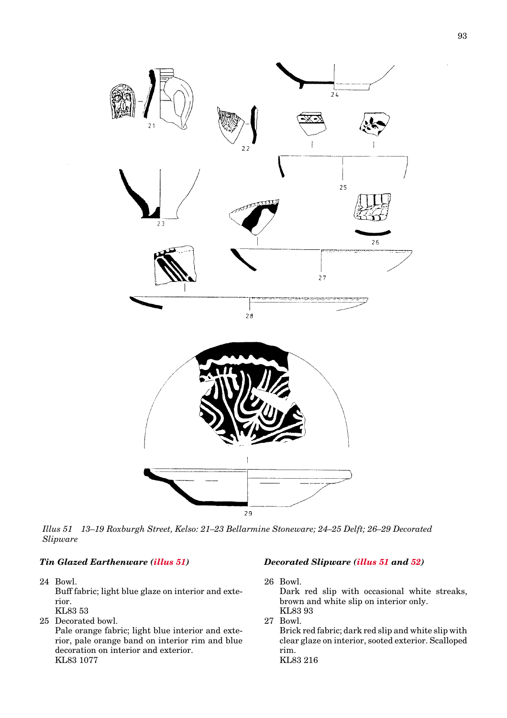<span id="page-9-0"></span>

*Illus 51 13–19 Roxburgh Street, Kelso: 21–23 Bellarmine Stoneware; 24–25 Delft; 26–29 Decorated Slipware*

# *Tin Glazed Earthenware (illus 51)*

- 24 Bowl. Buff fabric; light blue glaze on interior and exterior. KL83 53
- 25 Decorated bowl. Pale orange fabric; light blue interior and exterior, pale orange band on interior rim and blue decoration on interior and exterior. KL83 1077

# *Decorated Slipware (illus 51 and [52\)](#page-10-0)*

26 Bowl.

Dark red slip with occasional white streaks, brown and white slip on interior only. KL83 93

27 Bowl.

Brick red fabric; dark red slip and white slip with clear glaze on interior, sooted exterior. Scalloped rim. KL83 216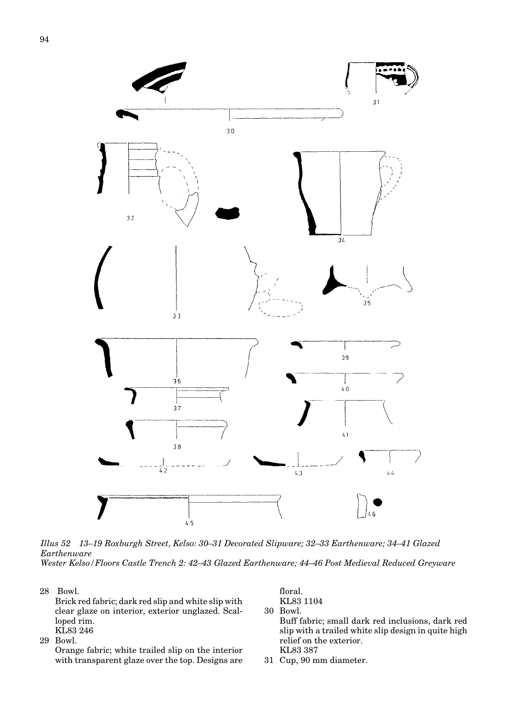<span id="page-10-0"></span>![](_page_10_Figure_0.jpeg)

*Illus 52 13–19 Roxburgh Street, Kelso: 30–31 Decorated Slipware; 32–33 Earthenware; 34–41 Glazed Earthenware Wester Kelso/Floors Castle Trench 2: 42–43 Glazed Earthenware; 44–46 Post Medieval Reduced Greyware*

28 Bowl.

Brick red fabric; dark red slip and white slip with clear glaze on interior, exterior unglazed. Scalloped rim. KL83 246

29 Bowl.

Orange fabric; white trailed slip on the interior with transparent glaze over the top. Designs are

floral. KL83 1104 30 Bowl.

Buff fabric; small dark red inclusions, dark red slip with a trailed white slip design in quite high relief on the exterior. KL83 387

31 Cup, 90 mm diameter.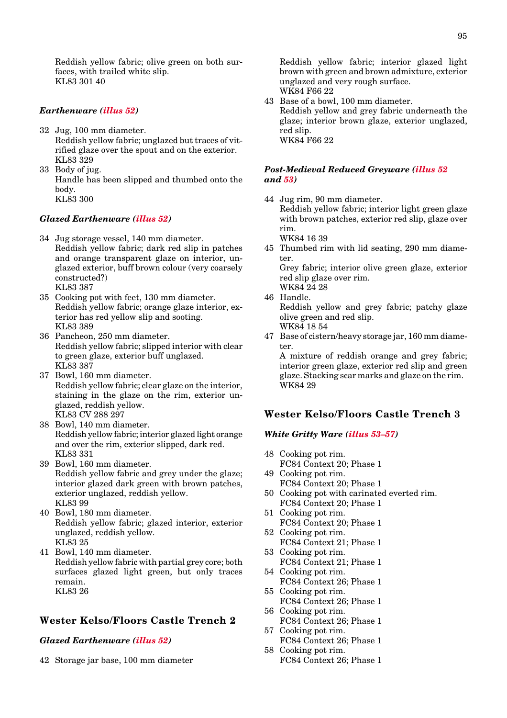Reddish yellow fabric; olive green on both surfaces, with trailed white slip. KL83 301 40

# *Earthenwar[e \(illus 52\)](#page-10-0)*

- 32 Jug, 100 mm diameter. Reddish yellow fabric; unglazed but traces of vitrified glaze over the spout and on the exterior. KL83 329
- 33 Body of jug. Handle has been slipped and thumbed onto the body. KL83 300

# *Glazed Earthenware [\(illus 52\)](#page-10-0)*

- 34 Jug storage vessel, 140 mm diameter. Reddish yellow fabric; dark red slip in patches and orange transparent glaze on interior, unglazed exterior, buff brown colour (very coarsely constructed?) KL83 387
- 35 Cooking pot with feet, 130 mm diameter. Reddish yellow fabric; orange glaze interior, exterior has red yellow slip and sooting. KL83 389
- 36 Pancheon, 250 mm diameter. Reddish yellow fabric; slipped interior with clear to green glaze, exterior buff unglazed. KL83 387
- 37 Bowl, 160 mm diameter. Reddish yellow fabric; clear glaze on the interior, staining in the glaze on the rim, exterior unglazed, reddish yellow. KL83 CV 288 297
- 38 Bowl, 140 mm diameter. Reddish yellow fabric; interior glazed light orange and over the rim, exterior slipped, dark red. KL83 331
- 39 Bowl, 160 mm diameter. Reddish yellow fabric and grey under the glaze; interior glazed dark green with brown patches, exterior unglazed, reddish yellow. KL83 99
- 40 Bowl, 180 mm diameter. Reddish yellow fabric; glazed interior, exterior unglazed, reddish yellow. KL83 25
- 41 Bowl, 140 mm diameter. Reddish yellow fabric with partial grey core; both surfaces glazed light green, but only traces remain. KL83 26

# **Wester Kelso/Floors Castle Trench 2**

#### *Glazed Earthenwar[e \(illus 52\)](#page-10-0)*

42 Storage jar base, 100 mm diameter

Reddish yellow fabric; interior glazed light brown with green and brown admixture, exterior unglazed and very rough surface. WK84 F66 22

43 Base of a bowl, 100 mm diameter. Reddish yellow and grey fabric underneath the glaze; interior brown glaze, exterior unglazed, red slip. WK84 F66 22

### *Post-Medieval Reduced Greyware [\(illus 52](#page-10-0) and [53\)](#page-12-0)*

44 Jug rim, 90 mm diameter. Reddish yellow fabric; interior light green glaze with brown patches, exterior red slip, glaze over rim.

WK84 16 39

45 Thumbed rim with lid seating, 290 mm diameter.

Grey fabric; interior olive green glaze, exterior red slip glaze over rim. WK84 24 28

46 Handle.

Reddish yellow and grey fabric; patchy glaze olive green and red slip. WK84 18 54

47 Base of cistern/heavy storage jar, 160 mm diameter.

A mixture of reddish orange and grey fabric; interior green glaze, exterior red slip and green glaze. Stacking scar marks and glaze on the rim. WK84 29

# **Wester Kelso/Floors Castle Trench 3**

# *White Gritty Ware [\(illus 53](#page-12-0)[–57\)](#page-16-0)*

- 48 Cooking pot rim.
- FC84 Context 20; Phase 1
- 49 Cooking pot rim. FC84 Context 20; Phase 1
- 50 Cooking pot with carinated everted rim. FC84 Context 20; Phase 1
- 51 Cooking pot rim.
- FC84 Context 20; Phase 1
- 52 Cooking pot rim. FC84 Context 21; Phase 1
- 53 Cooking pot rim. FC84 Context 21; Phase 1
- 54 Cooking pot rim. FC84 Context 26; Phase 1
- 55 Cooking pot rim. FC84 Context 26; Phase 1
- 56 Cooking pot rim. FC84 Context 26; Phase 1 57 Cooking pot rim.
- FC84 Context 26; Phase 1
- 58 Cooking pot rim. FC84 Context 26; Phase 1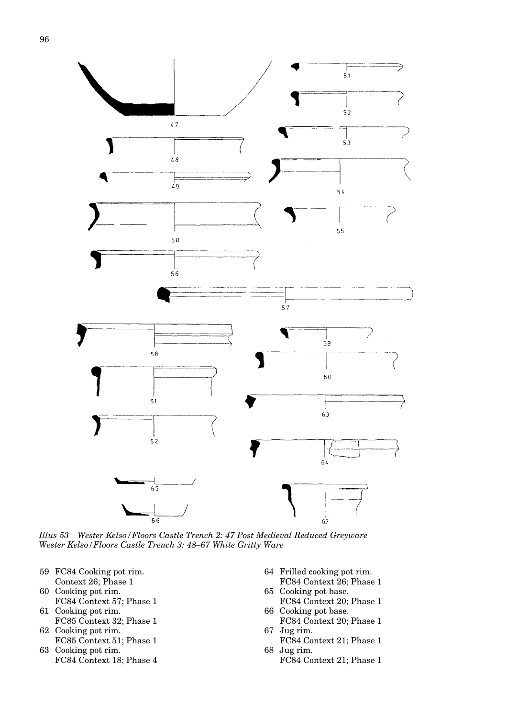<span id="page-12-0"></span>![](_page_12_Figure_1.jpeg)

*Illus 53 Wester Kelso/Floors Castle Trench 2: 47 Post Medieval Reduced Greyware Wester Kelso/Floors Castle Trench 3: 48–67 White Gritty Ware*

- 59 FC84 Cooking pot rim. Context 26; Phase 1
- 60 Cooking pot rim. FC84 Context 57; Phase 1
- 61 Cooking pot rim. FC85 Context 32; Phase 1
- 62 Cooking pot rim. FC85 Context 51; Phase 1
- 63 Cooking pot rim. FC84 Context 18; Phase 4
- 64 Frilled cooking pot rim. FC84 Context 26; Phase 1
- 65 Cooking pot base.
- FC84 Context 20; Phase 1 66 Cooking pot base.
- FC84 Context 20; Phase 1 67 Jug rim.
- FC84 Context 21; Phase 1 68 Jug rim.
	- FC84 Context 21; Phase 1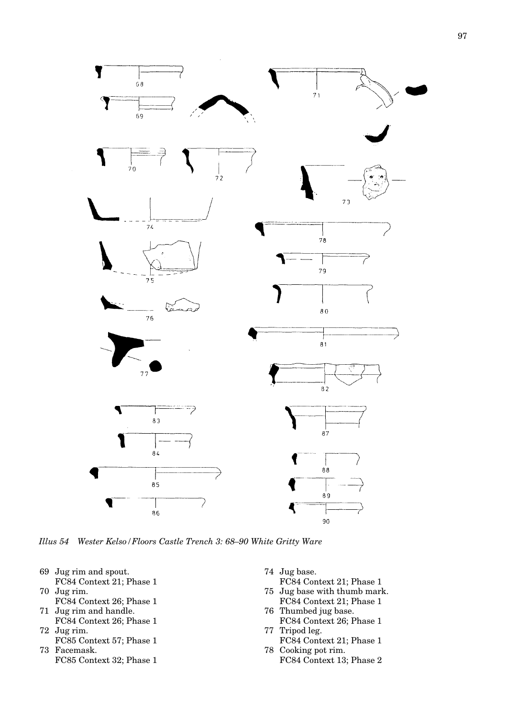![](_page_13_Figure_0.jpeg)

![](_page_13_Figure_1.jpeg)

*Illus 54 Wester Kelso/Floors Castle Trench 3: 68–90 White Gritty Ware*

- 69 Jug rim and spout. FC84 Context 21; Phase 1
- 70 Jug rim.
- FC84 Context 26; Phase 1 71 Jug rim and handle.

Y

- FC84 Context 26; Phase 1 72 Jug rim.
- FC85 Context 57; Phase 1 73 Facemask.
	- FC85 Context 32; Phase 1
- 74 Jug base.
- FC84 Context 21; Phase 1 75 Jug base with thumb mark.
- FC84 Context 21; Phase 1 76 Thumbed jug base.
- FC84 Context 26; Phase 1 77 Tripod leg.
- FC84 Context 21; Phase 1 78 Cooking pot rim.
	- FC84 Context 13; Phase 2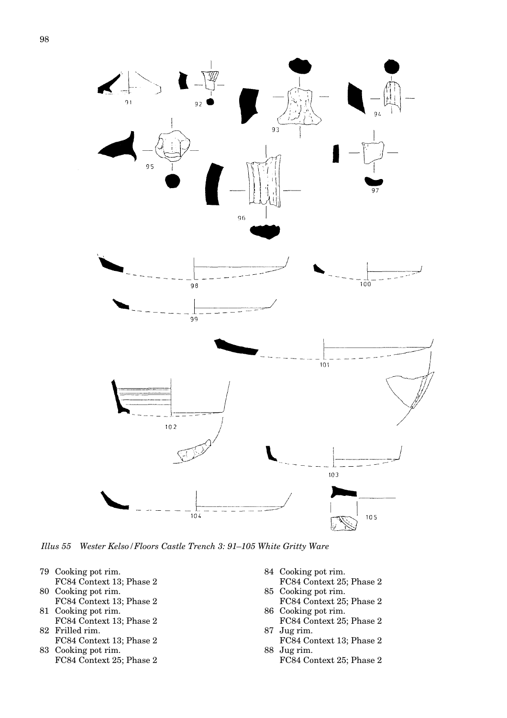![](_page_14_Figure_1.jpeg)

*Illus 55 Wester Kelso/Floors Castle Trench 3: 91–105 White Gritty Ware*

- 79 Cooking pot rim. FC84 Context 13; Phase 2
- 80 Cooking pot rim.
- FC84 Context 13; Phase 2 81 Cooking pot rim.
- FC84 Context 13; Phase 2 82 Frilled rim.
- FC84 Context 13; Phase 2 83 Cooking pot rim.
- FC84 Context 25; Phase 2
- 84 Cooking pot rim.
- FC84 Context 25; Phase 2 85 Cooking pot rim.
- FC84 Context 25; Phase 2 86 Cooking pot rim.
- FC84 Context 25; Phase 2 87 Jug rim.
- FC84 Context 13; Phase 2 88 Jug rim.
	- FC84 Context 25; Phase 2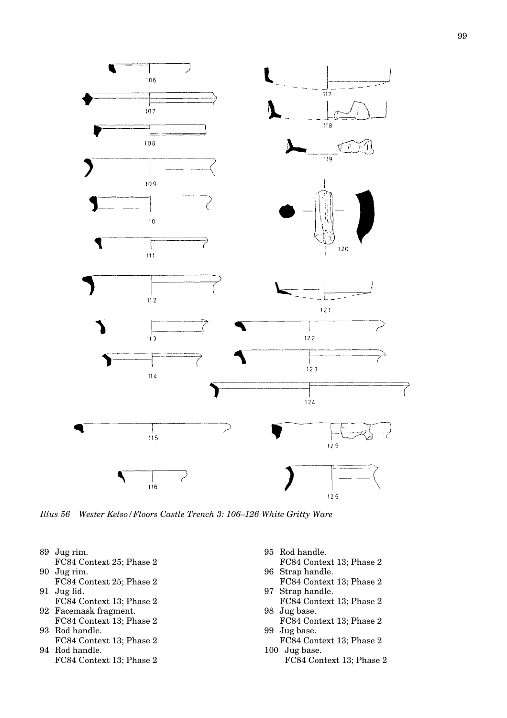![](_page_15_Figure_0.jpeg)

*Illus 56 Wester Kelso/Floors Castle Trench 3: 106–126 White Gritty Ware*

- 89 Jug rim.
- FC84 Context 25; Phase 2
- 90 Jug rim. FC84 Context 25; Phase 2
- 91 Jug lid.
- FC84 Context 13; Phase 2 92 Facemask fragment.
- FC84 Context 13; Phase 2 93 Rod handle.
- FC84 Context 13; Phase 2 94 Rod handle.
	- FC84 Context 13; Phase 2
- 95 Rod handle.
- FC84 Context 13; Phase 2 96 Strap handle.
- FC84 Context 13; Phase 2 97 Strap handle.
- FC84 Context 13; Phase 2 98 Jug base.
- FC84 Context 13; Phase 2 99 Jug base.
- FC84 Context 13; Phase 2 100 Jug base.
	- FC84 Context 13; Phase 2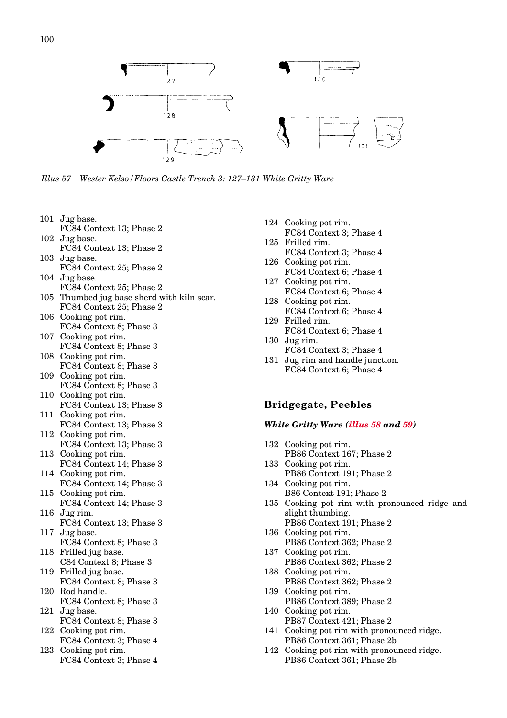<span id="page-16-0"></span>![](_page_16_Figure_1.jpeg)

*Illus 57 Wester Kelso/Floors Castle Trench 3: 127–131 White Gritty Ware*

- 101 Jug base. FC84 Context 13; Phase 2
- 102 Jug base. FC84 Context 13; Phase 2
- 103 Jug base. FC84 Context 25; Phase 2
- 104 Jug base. FC84 Context 25; Phase 2
- 105 Thumbed jug base sherd with kiln scar. FC84 Context 25; Phase 2
- 106 Cooking pot rim. FC84 Context 8; Phase 3
- 107 Cooking pot rim.
- FC84 Context 8; Phase 3 108 Cooking pot rim.
- FC84 Context 8; Phase 3 109 Cooking pot rim.
- FC84 Context 8; Phase 3
- 110 Cooking pot rim. FC84 Context 13; Phase 3
- 111 Cooking pot rim. FC84 Context 13; Phase 3
- 112 Cooking pot rim. FC84 Context 13; Phase 3
- 113 Cooking pot rim. FC84 Context 14; Phase 3
- 114 Cooking pot rim. FC84 Context 14; Phase 3
- 115 Cooking pot rim. FC84 Context 14; Phase 3
- 116 Jug rim. FC84 Context 13; Phase 3
- 117 Jug base. FC84 Context 8; Phase 3
- 118 Frilled jug base. C84 Context 8; Phase 3
- 119 Frilled jug base. FC84 Context 8; Phase 3
- 120 Rod handle. FC84 Context 8; Phase 3
- 121 Jug base. FC84 Context 8; Phase 3
- 122 Cooking pot rim. FC84 Context 3; Phase 4
- 123 Cooking pot rim. FC84 Context 3; Phase 4
- 124 Cooking pot rim. FC84 Context 3; Phase 4
- 125 Frilled rim. FC84 Context 3; Phase 4
- 126 Cooking pot rim. FC84 Context 6; Phase 4
- 127 Cooking pot rim. FC84 Context 6; Phase 4
- 128 Cooking pot rim. FC84 Context 6; Phase 4
- 129 Frilled rim. FC84 Context 6; Phase 4
- 130 Jug rim. FC84 Context 3; Phase 4
- 131 Jug rim and handle junction. FC84 Context 6; Phase 4

# **Bridgegate, Peebles**

### *White Gritty Ware [\(illus 58](#page-17-0) and [59\)](#page-18-0)*

- 132 Cooking pot rim. PB86 Context 167; Phase 2
- 133 Cooking pot rim. PB86 Context 191; Phase 2
- 134 Cooking pot rim. B86 Context 191; Phase 2
- 135 Cooking pot rim with pronounced ridge and slight thumbing.
- PB86 Context 191; Phase 2 136 Cooking pot rim.
- PB86 Context 362; Phase 2 137 Cooking pot rim.
- PB86 Context 362; Phase 2 138 Cooking pot rim.
- PB86 Context 362; Phase 2
- 139 Cooking pot rim. PB86 Context 389; Phase 2 140 Cooking pot rim.
- PB87 Context 421; Phase 2
- 141 Cooking pot rim with pronounced ridge. PB86 Context 361; Phase 2b
- 142 Cooking pot rim with pronounced ridge. PB86 Context 361; Phase 2b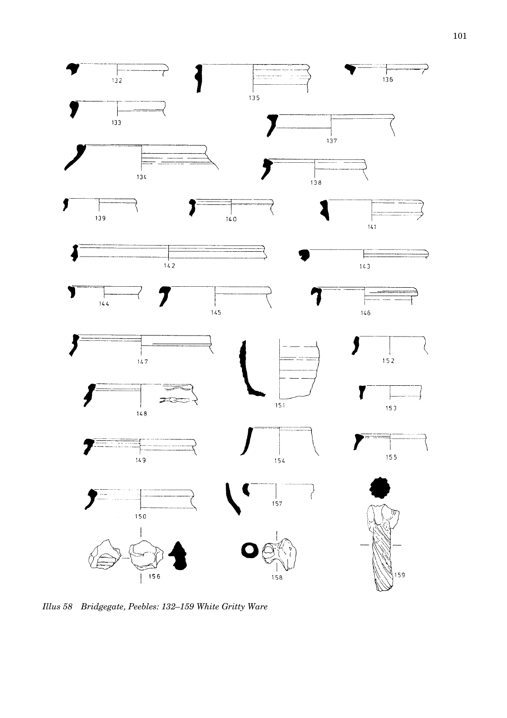<span id="page-17-0"></span>![](_page_17_Figure_0.jpeg)

*Illus 58 Bridgegate, Peebles: 132–159 White Gritty Ware*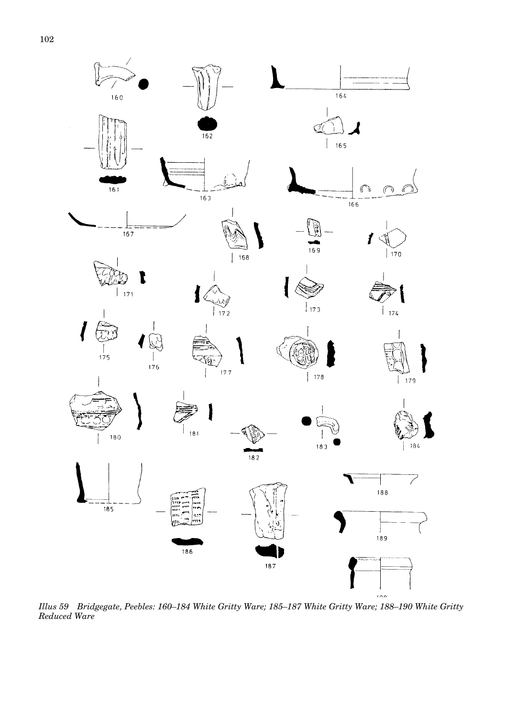<span id="page-18-0"></span>![](_page_18_Figure_1.jpeg)

*Illus 59 Bridgegate, Peebles: 160–184 White Gritty Ware; 185–187 White Gritty Ware; 188–190 White Gritty Reduced Ware*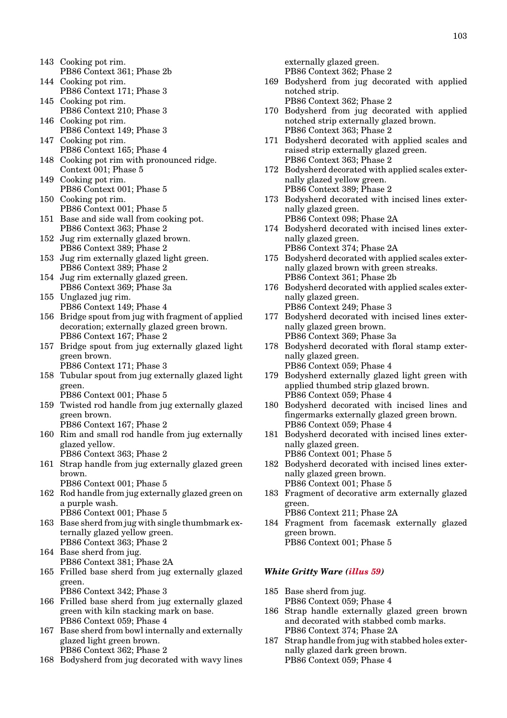- 143 Cooking pot rim. PB86 Context 361; Phase 2b
- 144 Cooking pot rim. PB86 Context 171; Phase 3
- 145 Cooking pot rim. PB86 Context 210; Phase 3
- 146 Cooking pot rim. PB86 Context 149; Phase 3
- 147 Cooking pot rim. PB86 Context 165; Phase 4
- 148 Cooking pot rim with pronounced ridge. Context 001; Phase 5
- 149 Cooking pot rim. PB86 Context 001; Phase 5
- 150 Cooking pot rim. PB86 Context 001; Phase 5
- 151 Base and side wall from cooking pot. PB86 Context 363; Phase 2
- 152 Jug rim externally glazed brown. PB86 Context 389; Phase 2
- 153 Jug rim externally glazed light green. PB86 Context 389; Phase 2
- 154 Jug rim externally glazed green. PB86 Context 369; Phase 3a
- 155 Unglazed jug rim. PB86 Context 149; Phase 4
- 156 Bridge spout from jug with fragment of applied decoration; externally glazed green brown. PB86 Context 167; Phase 2
- 157 Bridge spout from jug externally glazed light green brown. PB86 Context 171; Phase 3
- 158 Tubular spout from jug externally glazed light green.
	- PB86 Context 001; Phase 5
- 159 Twisted rod handle from jug externally glazed green brown.
	- PB86 Context 167; Phase 2
- 160 Rim and small rod handle from jug externally glazed yellow. PB86 Context 363; Phase 2
- 161 Strap handle from jug externally glazed green brown.
	- PB86 Context 001; Phase 5
- 162 Rod handle from jug externally glazed green on a purple wash. PB86 Context 001; Phase 5
- 163 Base sherd from jug with single thumbmark externally glazed yellow green. PB86 Context 363; Phase 2
- 164 Base sherd from jug. PB86 Context 381; Phase 2A
- 165 Frilled base sherd from jug externally glazed green. PB86 Context 342; Phase 3
- 166 Frilled base sherd from jug externally glazed green with kiln stacking mark on base. PB86 Context 059; Phase 4
- 167 Base sherd from bowl internally and externally glazed light green brown. PB86 Context 362; Phase 2
- 168 Bodysherd from jug decorated with wavy lines

externally glazed green. PB86 Context 362; Phase 2

- 169 Bodysherd from jug decorated with applied notched strip.
	- PB86 Context 362; Phase 2
- 170 Bodysherd from jug decorated with applied notched strip externally glazed brown. PB86 Context 363; Phase 2
- 171 Bodysherd decorated with applied scales and raised strip externally glazed green. PB86 Context 363; Phase 2
- 172 Bodysherd decorated with applied scales externally glazed yellow green. PB86 Context 389; Phase 2
- 173 Bodysherd decorated with incised lines externally glazed green. PB86 Context 098; Phase 2A
- 174 Bodysherd decorated with incised lines externally glazed green. PB86 Context 374; Phase 2A
- 175 Bodysherd decorated with applied scales externally glazed brown with green streaks. PB86 Context 361; Phase 2b
- 176 Bodysherd decorated with applied scales externally glazed green.
- PB86 Context 249; Phase 3 177 Bodysherd decorated with incised lines externally glazed green brown. PB86 Context 369; Phase 3a
- 178 Bodysherd decorated with floral stamp externally glazed green. PB86 Context 059; Phase 4
- 179 Bodysherd externally glazed light green with applied thumbed strip glazed brown. PB86 Context 059; Phase 4
- 180 Bodysherd decorated with incised lines and fingermarks externally glazed green brown. PB86 Context 059; Phase 4
- 181 Bodysherd decorated with incised lines externally glazed green. PB86 Context 001; Phase 5
- 182 Bodysherd decorated with incised lines externally glazed green brown. PB86 Context 001; Phase 5
- 183 Fragment of decorative arm externally glazed green. PB86 Context 211; Phase 2A
- 184 Fragment from facemask externally glazed green brown. PB86 Context 001; Phase 5

# *White Gritty War[e \(illus 59\)](#page-18-0)*

- 185 Base sherd from jug. PB86 Context 059; Phase 4
- 186 Strap handle externally glazed green brown and decorated with stabbed comb marks. PB86 Context 374; Phase 2A
- 187 Strap handle from jug with stabbed holes externally glazed dark green brown. PB86 Context 059; Phase 4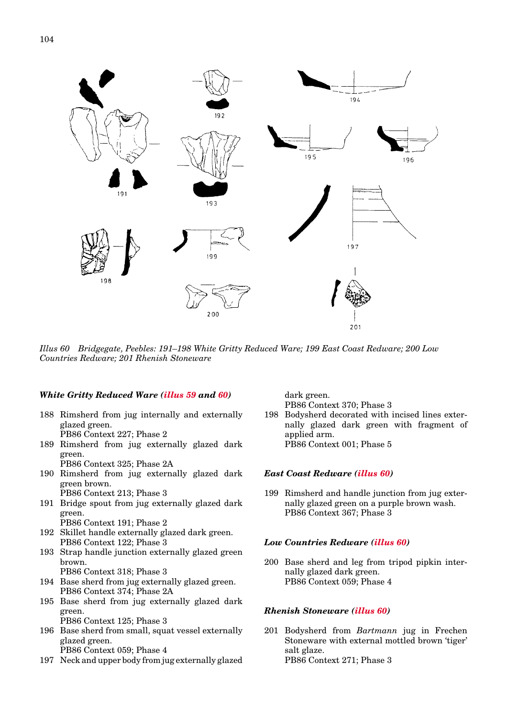![](_page_20_Figure_1.jpeg)

*Illus 60 Bridgegate, Peebles: 191–198 White Gritty Reduced Ware; 199 East Coast Redware; 200 Low Countries Redware; 201 Rhenish Stoneware*

# *White Gritty Reduced Ware [\(illus 59](#page-18-0) and 60)*

- 188 Rimsherd from jug internally and externally glazed green. PB86 Context 227; Phase 2
- 189 Rimsherd from jug externally glazed dark green.

PB86 Context 325; Phase 2A

- 190 Rimsherd from jug externally glazed dark green brown. PB86 Context 213; Phase 3
- 191 Bridge spout from jug externally glazed dark green.

PB86 Context 191; Phase 2

- 192 Skillet handle externally glazed dark green. PB86 Context 122; Phase 3
- 193 Strap handle junction externally glazed green brown.

PB86 Context 318; Phase 3

- 194 Base sherd from jug externally glazed green. PB86 Context 374; Phase 2A
- 195 Base sherd from jug externally glazed dark green.

PB86 Context 125; Phase 3

- 196 Base sherd from small, squat vessel externally glazed green. PB86 Context 059; Phase 4
- 197 Neck and upper body from jug externally glazed

dark green. PB86 Context 370; Phase 3

198 Bodysherd decorated with incised lines externally glazed dark green with fragment of applied arm. PB86 Context 001; Phase 5

#### *East Coast Redware (illus 60)*

199 Rimsherd and handle junction from jug externally glazed green on a purple brown wash. PB86 Context 367; Phase 3

#### *Low Countries Redware (illus 60)*

200 Base sherd and leg from tripod pipkin internally glazed dark green. PB86 Context 059; Phase 4

### *Rhenish Stoneware (illus 60)*

201 Bodysherd from *Bartmann* jug in Frechen Stoneware with external mottled brown 'tiger' salt glaze. PB86 Context 271; Phase 3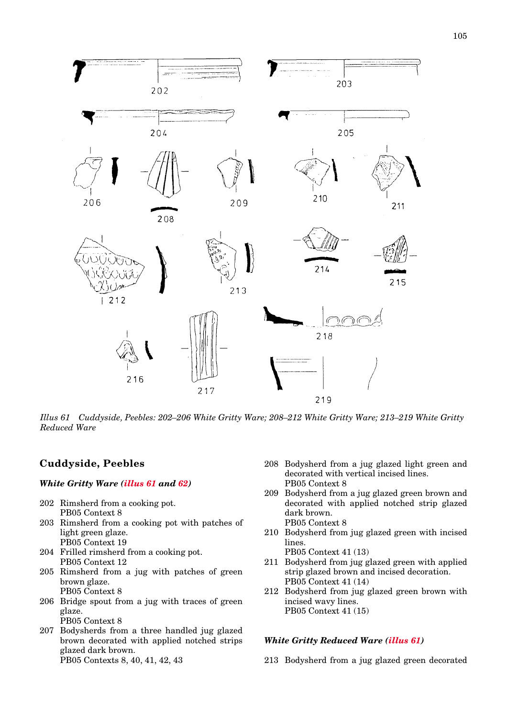![](_page_21_Figure_0.jpeg)

*Illus 61 Cuddyside, Peebles: 202–206 White Gritty Ware; 208–212 White Gritty Ware; 213–219 White Gritty Reduced Ware*

# **Cuddyside, Peebles**

# *White Gritty Ware (illus 61 and [62\)](#page-22-0)*

- 202 Rimsherd from a cooking pot. PB05 Context 8
- 203 Rimsherd from a cooking pot with patches of light green glaze. PB05 Context 19
- 204 Frilled rimsherd from a cooking pot. PB05 Context 12
- 205 Rimsherd from a jug with patches of green brown glaze. PB05 Context 8
- 206 Bridge spout from a jug with traces of green glaze. PB05 Context 8
- 207 Bodysherds from a three handled jug glazed brown decorated with applied notched strips glazed dark brown. PB05 Contexts 8, 40, 41, 42, 43
- 208 Bodysherd from a jug glazed light green and decorated with vertical incised lines. PB05 Context 8
- 209 Bodysherd from a jug glazed green brown and decorated with applied notched strip glazed dark brown. PB05 Context 8
- 210 Bodysherd from jug glazed green with incised lines.

PB05 Context 41 (13)

- 211 Bodysherd from jug glazed green with applied strip glazed brown and incised decoration. PB05 Context 41 (14)
- 212 Bodysherd from jug glazed green brown with incised wavy lines. PB05 Context 41 (15)

# *White Gritty Reduced Ware (illus 61)*

213 Bodysherd from a jug glazed green decorated